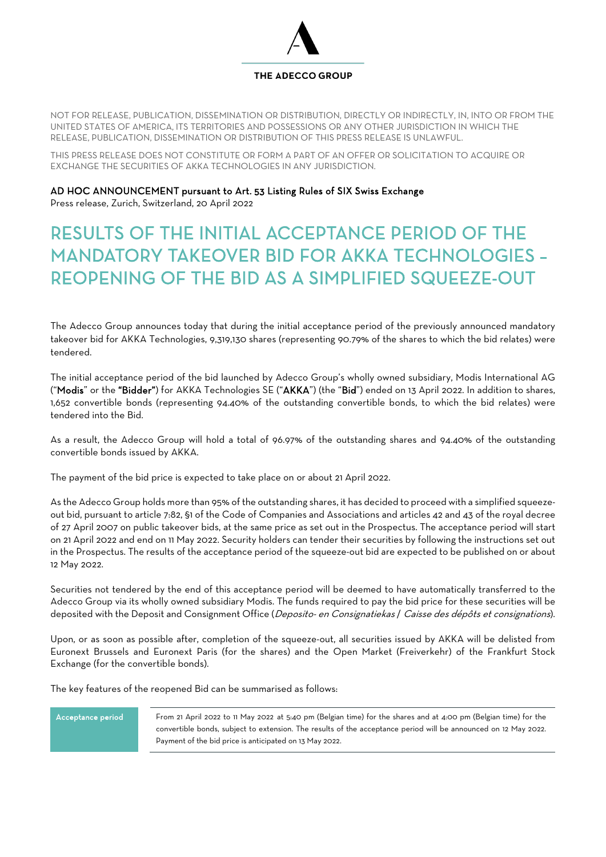

NOT FOR RELEASE, PUBLICATION, DISSEMINATION OR DISTRIBUTION, DIRECTLY OR INDIRECTLY, IN, INTO OR FROM THE UNITED STATES OF AMERICA, ITS TERRITORIES AND POSSESSIONS OR ANY OTHER JURISDICTION IN WHICH THE RELEASE, PUBLICATION, DISSEMINATION OR DISTRIBUTION OF THIS PRESS RELEASE IS UNLAWFUL.

THIS PRESS RELEASE DOES NOT CONSTITUTE OR FORM A PART OF AN OFFER OR SOLICITATION TO ACQUIRE OR EXCHANGE THE SECURITIES OF AKKA TECHNOLOGIES IN ANY JURISDICTION.

AD HOC ANNOUNCEMENT pursuant to Art. 53 Listing Rules of SIX Swiss Exchange Press release, Zurich, Switzerland, 20 April 2022

# RESULTS OF THE INITIAL ACCEPTANCE PERIOD OF THE MANDATORY TAKEOVER BID FOR AKKA TECHNOLOGIES – REOPENING OF THE BID AS A SIMPLIFIED SQUEEZE-OUT

The Adecco Group announces today that during the initial acceptance period of the previously announced mandatory takeover bid for AKKA Technologies, 9,319,130 shares (representing 90.79% of the shares to which the bid relates) were tendered.

The initial acceptance period of the bid launched by Adecco Group's wholly owned subsidiary, Modis International AG ("Modis" or the "Bidder") for AKKA Technologies SE ("AKKA") (the "Bid") ended on 13 April 2022. In addition to shares, 1,652 convertible bonds (representing 94.40% of the outstanding convertible bonds, to which the bid relates) were tendered into the Bid.

As a result, the Adecco Group will hold a total of 96.97% of the outstanding shares and 94.40% of the outstanding convertible bonds issued by AKKA.

The payment of the bid price is expected to take place on or about 21 April 2022.

As the Adecco Group holds more than 95% of the outstanding shares, it has decided to proceed with a simplified squeezeout bid, pursuant to article 7:82, §1 of the Code of Companies and Associations and articles 42 and 43 of the royal decree of 27 April 2007 on public takeover bids, at the same price as set out in the Prospectus. The acceptance period will start on 21 April 2022 and end on 11 May 2022. Security holders can tender their securities by following the instructions set out in the Prospectus. The results of the acceptance period of the squeeze-out bid are expected to be published on or about 12 May 2022.

Securities not tendered by the end of this acceptance period will be deemed to have automatically transferred to the Adecco Group via its wholly owned subsidiary Modis. The funds required to pay the bid price for these securities will be deposited with the Deposit and Consignment Office (Deposito- en Consignatiekas / Caisse des dépôts et consignations).

Upon, or as soon as possible after, completion of the squeeze-out, all securities issued by AKKA will be delisted from Euronext Brussels and Euronext Paris (for the shares) and the Open Market (Freiverkehr) of the Frankfurt Stock Exchange (for the convertible bonds).

The key features of the reopened Bid can be summarised as follows:

Acceptance period From 21 April 2022 to 11 May 2022 at 5:40 pm (Belgian time) for the shares and at 4:00 pm (Belgian time) for the convertible bonds, subject to extension. The results of the acceptance period will be announced on 12 May 2022. Payment of the bid price is anticipated on 13 May 2022.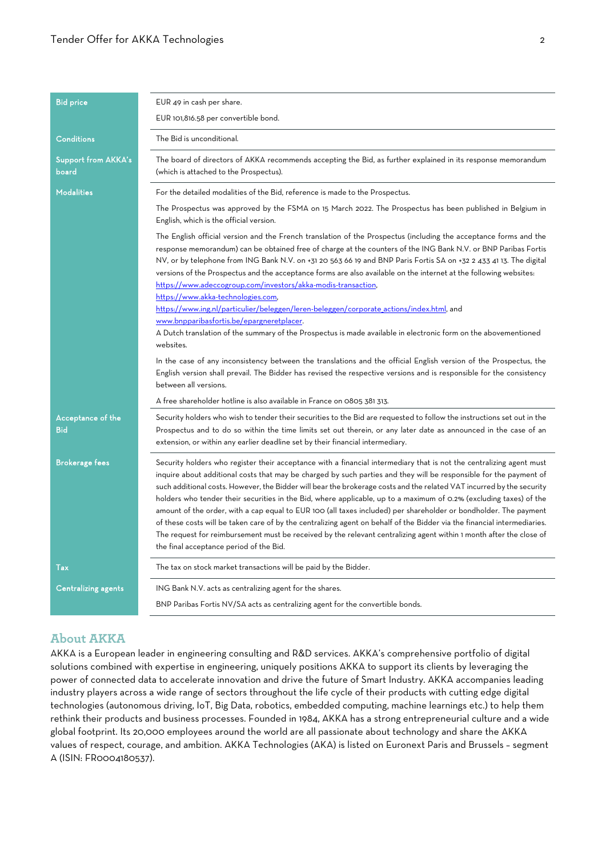#### Tender Offer for AKKA Technologies 2

| <b>Bid price</b>                    | EUR 49 in cash per share.                                                                                                                                                                                                                                                                                                                                                                                                                                                                                                                                                                                                                                                                                                                                                                                                                                                                                   |
|-------------------------------------|-------------------------------------------------------------------------------------------------------------------------------------------------------------------------------------------------------------------------------------------------------------------------------------------------------------------------------------------------------------------------------------------------------------------------------------------------------------------------------------------------------------------------------------------------------------------------------------------------------------------------------------------------------------------------------------------------------------------------------------------------------------------------------------------------------------------------------------------------------------------------------------------------------------|
|                                     | EUR 101,816.58 per convertible bond.                                                                                                                                                                                                                                                                                                                                                                                                                                                                                                                                                                                                                                                                                                                                                                                                                                                                        |
| <b>Conditions</b>                   | The Bid is unconditional.                                                                                                                                                                                                                                                                                                                                                                                                                                                                                                                                                                                                                                                                                                                                                                                                                                                                                   |
| <b>Support from AKKA's</b><br>board | The board of directors of AKKA recommends accepting the Bid, as further explained in its response memorandum<br>(which is attached to the Prospectus).                                                                                                                                                                                                                                                                                                                                                                                                                                                                                                                                                                                                                                                                                                                                                      |
| <b>Modalities</b>                   | For the detailed modalities of the Bid, reference is made to the Prospectus.                                                                                                                                                                                                                                                                                                                                                                                                                                                                                                                                                                                                                                                                                                                                                                                                                                |
|                                     | The Prospectus was approved by the FSMA on 15 March 2022. The Prospectus has been published in Belgium in<br>English, which is the official version.                                                                                                                                                                                                                                                                                                                                                                                                                                                                                                                                                                                                                                                                                                                                                        |
|                                     | The English official version and the French translation of the Prospectus (including the acceptance forms and the<br>response memorandum) can be obtained free of charge at the counters of the ING Bank N.V. or BNP Paribas Fortis<br>NV, or by telephone from ING Bank N.V. on +31 20 563 66 19 and BNP Paris Fortis SA on +32 2 433 41 13. The digital<br>versions of the Prospectus and the acceptance forms are also available on the internet at the following websites:<br>https://www.adeccogroup.com/investors/akka-modis-transaction,<br>https://www.akka-technologies.com,                                                                                                                                                                                                                                                                                                                       |
|                                     | https://www.ing.nl/particulier/beleggen/leren-beleggen/corporate_actions/index.html, and                                                                                                                                                                                                                                                                                                                                                                                                                                                                                                                                                                                                                                                                                                                                                                                                                    |
|                                     | www.bnpparibasfortis.be/epargneretplacer.<br>A Dutch translation of the summary of the Prospectus is made available in electronic form on the abovementioned<br>websites.                                                                                                                                                                                                                                                                                                                                                                                                                                                                                                                                                                                                                                                                                                                                   |
|                                     | In the case of any inconsistency between the translations and the official English version of the Prospectus, the<br>English version shall prevail. The Bidder has revised the respective versions and is responsible for the consistency<br>between all versions.                                                                                                                                                                                                                                                                                                                                                                                                                                                                                                                                                                                                                                          |
|                                     | A free shareholder hotline is also available in France on 0805 381 313.                                                                                                                                                                                                                                                                                                                                                                                                                                                                                                                                                                                                                                                                                                                                                                                                                                     |
| Acceptance of the<br><b>Bid</b>     | Security holders who wish to tender their securities to the Bid are requested to follow the instructions set out in the<br>Prospectus and to do so within the time limits set out therein, or any later date as announced in the case of an<br>extension, or within any earlier deadline set by their financial intermediary.                                                                                                                                                                                                                                                                                                                                                                                                                                                                                                                                                                               |
| <b>Brokerage fees</b>               | Security holders who register their acceptance with a financial intermediary that is not the centralizing agent must<br>inquire about additional costs that may be charged by such parties and they will be responsible for the payment of<br>such additional costs. However, the Bidder will bear the brokerage costs and the related VAT incurred by the security<br>holders who tender their securities in the Bid, where applicable, up to a maximum of 0.2% (excluding taxes) of the<br>amount of the order, with a cap equal to EUR 100 (all taxes included) per shareholder or bondholder. The payment<br>of these costs will be taken care of by the centralizing agent on behalf of the Bidder via the financial intermediaries.<br>The request for reimbursement must be received by the relevant centralizing agent within 1 month after the close of<br>the final acceptance period of the Bid. |
| Tax                                 | The tax on stock market transactions will be paid by the Bidder.                                                                                                                                                                                                                                                                                                                                                                                                                                                                                                                                                                                                                                                                                                                                                                                                                                            |
| <b>Centralizing agents</b>          | ING Bank N.V. acts as centralizing agent for the shares.                                                                                                                                                                                                                                                                                                                                                                                                                                                                                                                                                                                                                                                                                                                                                                                                                                                    |
|                                     | BNP Paribas Fortis NV/SA acts as centralizing agent for the convertible bonds.                                                                                                                                                                                                                                                                                                                                                                                                                                                                                                                                                                                                                                                                                                                                                                                                                              |
|                                     |                                                                                                                                                                                                                                                                                                                                                                                                                                                                                                                                                                                                                                                                                                                                                                                                                                                                                                             |

## **About AKKA**

AKKA is a European leader in engineering consulting and R&D services. AKKA's comprehensive portfolio of digital solutions combined with expertise in engineering, uniquely positions AKKA to support its clients by leveraging the power of connected data to accelerate innovation and drive the future of Smart Industry. AKKA accompanies leading industry players across a wide range of sectors throughout the life cycle of their products with cutting edge digital technologies (autonomous driving, IoT, Big Data, robotics, embedded computing, machine learnings etc.) to help them rethink their products and business processes. Founded in 1984, AKKA has a strong entrepreneurial culture and a wide global footprint. Its 20,000 employees around the world are all passionate about technology and share the AKKA values of respect, courage, and ambition. AKKA Technologies (AKA) is listed on Euronext Paris and Brussels – segment A (ISIN: FR0004180537).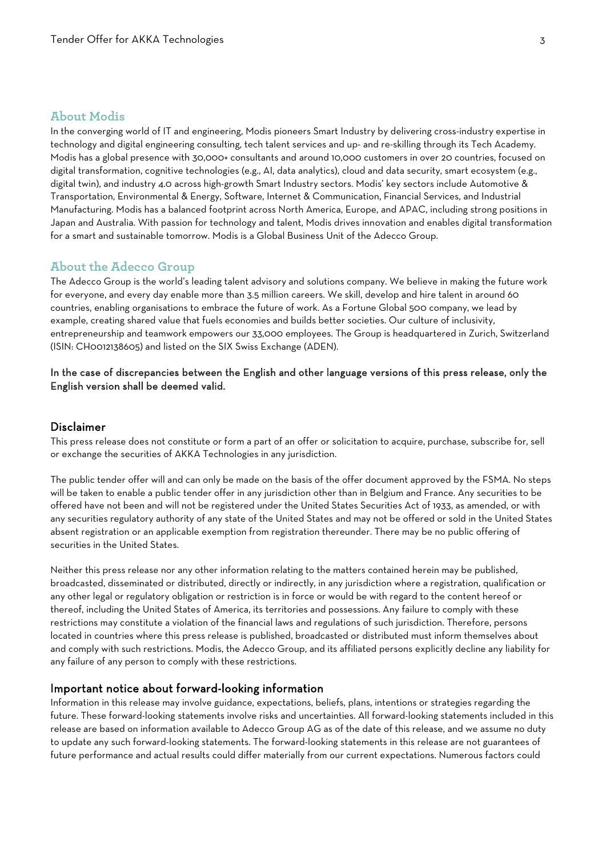## **About Modis**

In the converging world of IT and engineering, Modis pioneers Smart Industry by delivering cross-industry expertise in technology and digital engineering consulting, tech talent services and up- and re-skilling through its Tech Academy. Modis has a global presence with 30,000+ consultants and around 10,000 customers in over 20 countries, focused on digital transformation, cognitive technologies (e.g., AI, data analytics), cloud and data security, smart ecosystem (e.g., digital twin), and industry 4.0 across high-growth Smart Industry sectors. Modis' key sectors include Automotive & Transportation, Environmental & Energy, Software, Internet & Communication, Financial Services, and Industrial Manufacturing. Modis has a balanced footprint across North America, Europe, and APAC, including strong positions in Japan and Australia. With passion for technology and talent, Modis drives innovation and enables digital transformation for a smart and sustainable tomorrow. Modis is a Global Business Unit of the Adecco Group.

### **About the Adecco Group**

The Adecco Group is the world's leading talent advisory and solutions company. We believe in making the future work for everyone, and every day enable more than 3.5 million careers. We skill, develop and hire talent in around 60 countries, enabling organisations to embrace the future of work. As a Fortune Global 500 company, we lead by example, creating shared value that fuels economies and builds better societies. Our culture of inclusivity, entrepreneurship and teamwork empowers our 33,000 employees. The Group is headquartered in Zurich, Switzerland (ISIN: CH0012138605) and listed on the SIX Swiss Exchange (ADEN).

## In the case of discrepancies between the English and other language versions of this press release, only the English version shall be deemed valid.

#### Disclaimer

This press release does not constitute or form a part of an offer or solicitation to acquire, purchase, subscribe for, sell or exchange the securities of AKKA Technologies in any jurisdiction.

The public tender offer will and can only be made on the basis of the offer document approved by the FSMA. No steps will be taken to enable a public tender offer in any jurisdiction other than in Belgium and France. Any securities to be offered have not been and will not be registered under the United States Securities Act of 1933, as amended, or with any securities regulatory authority of any state of the United States and may not be offered or sold in the United States absent registration or an applicable exemption from registration thereunder. There may be no public offering of securities in the United States.

Neither this press release nor any other information relating to the matters contained herein may be published, broadcasted, disseminated or distributed, directly or indirectly, in any jurisdiction where a registration, qualification or any other legal or regulatory obligation or restriction is in force or would be with regard to the content hereof or thereof, including the United States of America, its territories and possessions. Any failure to comply with these restrictions may constitute a violation of the financial laws and regulations of such jurisdiction. Therefore, persons located in countries where this press release is published, broadcasted or distributed must inform themselves about and comply with such restrictions. Modis, the Adecco Group, and its affiliated persons explicitly decline any liability for any failure of any person to comply with these restrictions.

#### Important notice about forward-looking information

Information in this release may involve guidance, expectations, beliefs, plans, intentions or strategies regarding the future. These forward-looking statements involve risks and uncertainties. All forward-looking statements included in this release are based on information available to Adecco Group AG as of the date of this release, and we assume no duty to update any such forward-looking statements. The forward-looking statements in this release are not guarantees of future performance and actual results could differ materially from our current expectations. Numerous factors could